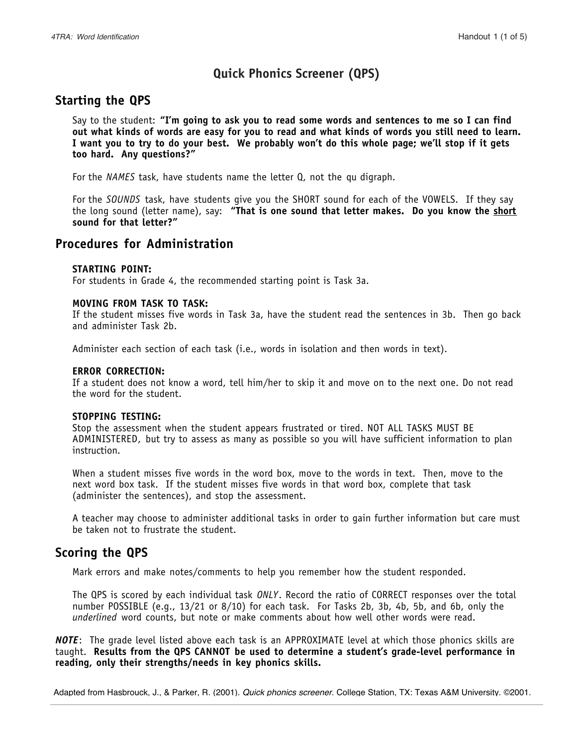# **Quick Phonics Screener (QPS)**

## **Starting the QPS**

Say to the student: **"I'm going to ask you to read some words and sentences to me so I can find out what kinds of words are easy for you to read and what kinds of words you still need to learn. I want you to try to do your best. We probably won't do this whole page; we'll stop if it gets too hard. Any questions?"**

For the *NAMES* task, have students name the letter Q, not the qu digraph.

For the *SOUNDS* task, have students give you the SHORT sound for each of the VOWELS. If they say the long sound (letter name), say: **"That is one sound that letter makes. Do you know the short sound for that letter?"**

### **Procedures for Administration**

#### **STARTING POINT:**

For students in Grade 4, the recommended starting point is Task 3a.

#### **MOVING FROM TASK TO TASK:**

If the student misses five words in Task 3a, have the student read the sentences in 3b. Then go back and administer Task 2b.

Administer each section of each task (i.e., words in isolation and then words in text).

#### **ERROR CORRECTION:**

If a student does not know a word, tell him/her to skip it and move on to the next one. Do not read the word for the student.

#### **STOPPING TESTING:**

Stop the assessment when the student appears frustrated or tired. NOT ALL TASKS MUST BE ADMINISTERED*,* but try to assess as many as possible so you will have sufficient information to plan instruction.

When a student misses five words in the word box, move to the words in text. Then, move to the next word box task. If the student misses five words in that word box, complete that task (administer the sentences), and stop the assessment.

A teacher may choose to administer additional tasks in order to gain further information but care must be taken not to frustrate the student.

## **Scoring the QPS**

Mark errors and make notes/comments to help you remember how the student responded.

The QPS is scored by each individual task *ONLY*. Record the ratio of CORRECT responses over the total number POSSIBLE (e.g., 13/21 or 8/10) for each task. For Tasks 2b, 3b, 4b, 5b, and 6b, only the *underlined* word counts, but note or make comments about how well other words were read.

*NOTE*: The grade level listed above each task is an APPROXIMATE level at which those phonics skills are taught. **Results from the QPS CANNOT be used to determine a student's grade-level performance in reading, only their strengths/needs in key phonics skills.**

Adapted from Hasbrouck, J., & Parker, R. (2001). Quick phonics screener. College Station, TX: Texas A&M University. ©2001.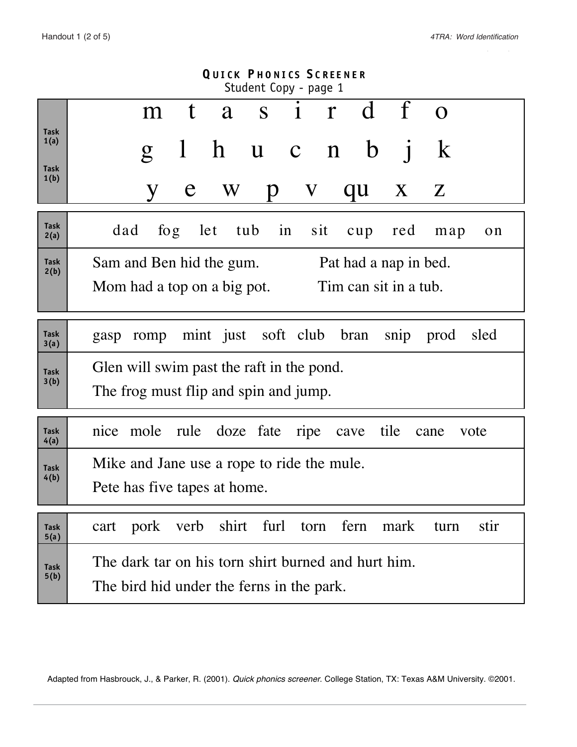$\mathcal{L}$ 

| <b>QUICK PHONICS SCREENER</b><br>Student Copy - page 1 |                                                                            |  |  |  |  |  |  |  |  |  |  |  |  |  |
|--------------------------------------------------------|----------------------------------------------------------------------------|--|--|--|--|--|--|--|--|--|--|--|--|--|
|                                                        | t a s i r d f<br>$\Omega$<br>m                                             |  |  |  |  |  |  |  |  |  |  |  |  |  |
| Task<br>1(a)<br><b>Task</b>                            | $\bf k$<br>$\hbar$<br>$\mathbf b$<br>u c n<br>$\mathbf{1}$<br>$\mathbf{g}$ |  |  |  |  |  |  |  |  |  |  |  |  |  |
| 1(b)                                                   | $\mathbf V$<br>qu<br>$X \t Z$<br>e<br>$\bf W$<br>Y<br>p                    |  |  |  |  |  |  |  |  |  |  |  |  |  |
| <b>Task</b><br>2(a)                                    | tub in<br>dad<br>let<br>sit<br>$f \circ g$<br>red<br>cup<br>map<br>on      |  |  |  |  |  |  |  |  |  |  |  |  |  |
| <b>Task</b><br>2(b)                                    | Sam and Ben hid the gum.<br>Pat had a nap in bed.                          |  |  |  |  |  |  |  |  |  |  |  |  |  |
|                                                        | Tim can sit in a tub.<br>Mom had a top on a big pot.                       |  |  |  |  |  |  |  |  |  |  |  |  |  |
| <b>Task</b><br>3(a)                                    | mint just soft club bran<br>sled<br>snip<br>prod<br>romp<br>gasp           |  |  |  |  |  |  |  |  |  |  |  |  |  |
| <b>Task</b><br>3(b)                                    | Glen will swim past the raft in the pond.                                  |  |  |  |  |  |  |  |  |  |  |  |  |  |
|                                                        | The frog must flip and spin and jump.                                      |  |  |  |  |  |  |  |  |  |  |  |  |  |
| <b>Task</b><br>4(a)                                    | nice mole<br>rule doze fate<br>tile<br>ripe<br>cave<br>cane<br>vote        |  |  |  |  |  |  |  |  |  |  |  |  |  |
| <b>Task</b>                                            | Mike and Jane use a rope to ride the mule.                                 |  |  |  |  |  |  |  |  |  |  |  |  |  |
| 4(b)<br>Pete has five tapes at home.                   |                                                                            |  |  |  |  |  |  |  |  |  |  |  |  |  |
| <b>Task</b><br>5(a)                                    | verb shirt furl torn fern mark<br>pork<br>stir<br>cart<br>turn             |  |  |  |  |  |  |  |  |  |  |  |  |  |
| <b>Task</b>                                            | The dark tar on his torn shirt burned and hurt him.                        |  |  |  |  |  |  |  |  |  |  |  |  |  |
| 5(b)                                                   | The bird hid under the ferns in the park.                                  |  |  |  |  |  |  |  |  |  |  |  |  |  |

Adapted from Hasbrouck, J., & Parker, R. (2001). Quick phonics screener. College Station, TX: Texas A&M University. @2001.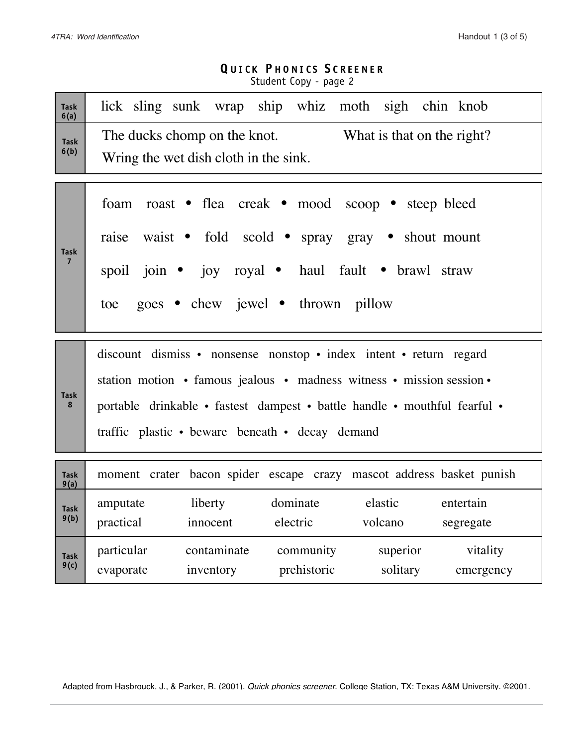## **Q UICK P HONICS S CREENER** Student Copy - page 2

| <b>Task</b><br>6(a)           | lick sling sunk wrap ship whiz moth sigh chin knob                                                                                                                                                                                                                          |  |  |  |  |  |  |  |  |  |  |  |  |
|-------------------------------|-----------------------------------------------------------------------------------------------------------------------------------------------------------------------------------------------------------------------------------------------------------------------------|--|--|--|--|--|--|--|--|--|--|--|--|
| <b>Task</b><br>6(b)           | The ducks chomp on the knot.<br>What is that on the right?<br>Wring the wet dish cloth in the sink.                                                                                                                                                                         |  |  |  |  |  |  |  |  |  |  |  |  |
| <b>Task</b><br>$\overline{7}$ | foam roast • flea creak • mood scoop • steep bleed<br>raise waist • fold scold • spray gray • shout mount<br>spoil join · joy royal · haul fault · brawl straw<br>goes • chew jewel • thrown pillow<br>toe                                                                  |  |  |  |  |  |  |  |  |  |  |  |  |
| <b>Task</b><br>8              | discount dismiss • nonsense nonstop • index intent • return regard<br>station motion • famous jealous • madness witness • mission session •<br>portable drinkable • fastest dampest • battle handle • mouthful fearful •<br>traffic plastic • beware beneath • decay demand |  |  |  |  |  |  |  |  |  |  |  |  |
| <b>Task</b><br>9(a)           | moment crater bacon spider escape crazy mascot address basket punish                                                                                                                                                                                                        |  |  |  |  |  |  |  |  |  |  |  |  |
| <b>Task</b><br>9(b)           | dominate<br>elastic<br>liberty<br>entertain<br>amputate<br>practical<br>electric<br>volcano<br>innocent<br>segregate                                                                                                                                                        |  |  |  |  |  |  |  |  |  |  |  |  |
| <b>Task</b><br>9(c)           | particular<br>community<br>superior<br>vitality<br>contaminate<br>prehistoric<br>solitary<br>inventory<br>evaporate<br>emergency                                                                                                                                            |  |  |  |  |  |  |  |  |  |  |  |  |

Adapted from Hasbrouck, J., & Parker, R. (2001). Quick phonics screener. College Station, TX: Texas A&M University. ©2001.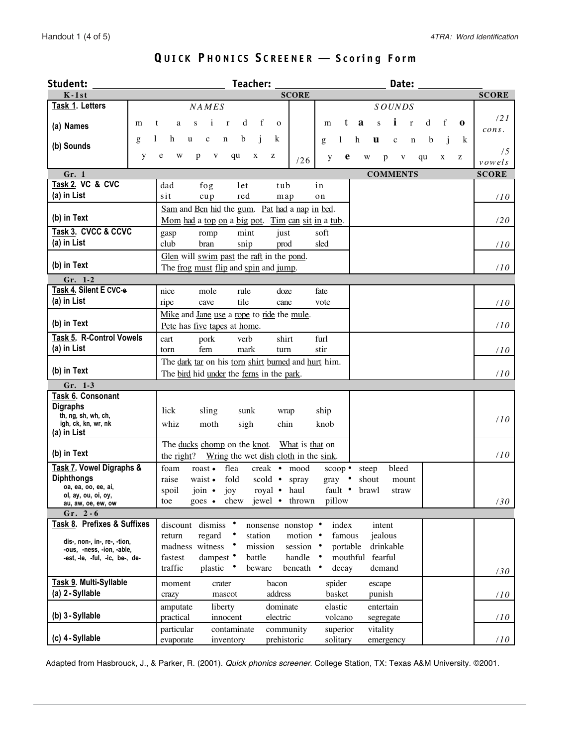| <b>Student:</b>                                             | Teacher:<br>Date:                                                                                                           |                 |
|-------------------------------------------------------------|-----------------------------------------------------------------------------------------------------------------------------|-----------------|
| $K-1st$                                                     | <b>SCORE</b>                                                                                                                | <b>SCORE</b>    |
| Task 1. Letters                                             | NAMES<br><b>SOUNDS</b>                                                                                                      |                 |
|                                                             | i<br>d<br>f<br>f<br>t<br>a<br>$\mathbf{r}$<br>d<br>i<br>S<br>$\bf{0}$                                                       | $\frac{121}{2}$ |
| (a) Names                                                   | m<br>t<br>a<br>S<br>$\mathbf{r}$<br>$\Omega$<br>m                                                                           | cons.           |
| (b) Sounds                                                  | b<br>h<br>k<br>$\mathbf c$<br>$\mathbf n$<br>j.<br>g<br>u<br>h<br>u<br>b<br>k<br>g<br>1<br>$\mathbf c$<br>$\mathbf n$<br>j  |                 |
|                                                             | y<br>e<br>W<br>p<br>$\mathbf{V}$<br>qu<br>X<br>z<br>e<br>W<br>$\mathbf{V}$<br>qu<br>X<br>z                                  | /5              |
|                                                             | y<br>p<br>/26                                                                                                               | vowels          |
| Gr. 1                                                       | <b>COMMENTS</b>                                                                                                             | <b>SCORE</b>    |
| Task 2. VC & CVC                                            | let<br>tub<br>in<br>dad<br>fog                                                                                              |                 |
| (a) in List                                                 | sit<br>red<br>$cu$ p<br>map<br>on                                                                                           | 110             |
|                                                             | Sam and Ben hid the gum. Pat had a nap in bed.                                                                              |                 |
| (b) in Text                                                 | Mom had a top on a big pot. Tim can sit in a tub.                                                                           | 120             |
| Task 3. CVCC & CCVC                                         | mint<br>just<br>soft<br>romp<br>gasp                                                                                        |                 |
| (a) in List                                                 | club<br>snip<br>sled<br>bran<br>prod                                                                                        | 110             |
|                                                             | Glen will swim past the raft in the pond.                                                                                   |                 |
| (b) in Text                                                 | The frog must flip and spin and jump.                                                                                       | $110^{-1}$      |
| Gr. 1-2                                                     |                                                                                                                             |                 |
| Task 4. Silent E CVC-e                                      | nice<br>mole<br>doze<br>fate<br>rule                                                                                        |                 |
| (a) in List                                                 | tile<br>ripe<br>cave<br>vote<br>cane                                                                                        | 110             |
|                                                             | Mike and Jane use a rope to ride the mule.                                                                                  |                 |
| (b) in Text                                                 | Pete has five tapes at home.                                                                                                | 110             |
| Task 5. R-Control Vowels                                    | shirt<br>furl<br>pork<br>verb<br>cart                                                                                       |                 |
| (a) in List                                                 | fern<br>mark<br>stir<br>torn<br>turn                                                                                        | 110             |
|                                                             | The dark tar on his torn shirt burned and hurt him.                                                                         |                 |
| (b) in Text                                                 | The bird hid under the ferns in the park.                                                                                   | 110             |
| Gr. 1-3                                                     |                                                                                                                             |                 |
| <b>Task 6. Consonant</b>                                    |                                                                                                                             |                 |
| <b>Digraphs</b>                                             |                                                                                                                             |                 |
| th, ng, sh, wh, ch,                                         | lick<br>sling<br>sunk<br>ship<br>wrap                                                                                       | 110             |
| igh, ck, kn, wr, nk                                         | whiz<br>moth<br>sigh<br>chin<br>knob                                                                                        |                 |
| (a) in List                                                 |                                                                                                                             |                 |
| (b) in Text                                                 | The ducks chomp on the knot.<br>What is that on                                                                             | 110             |
|                                                             | the right? Wring the wet dish cloth in the sink.                                                                            |                 |
| Task 7. Vowel Digraphs &<br><b>Diphthongs</b>               | flea<br>foam<br>roast.<br>creak • mood<br>bleed<br>scoop •<br>steep                                                         |                 |
| oa, ea, oo, ee, ai,                                         | fold<br>raise<br>waist •<br>scold $\bullet$<br>$gray \cdot$<br>shout<br>spray<br>mount<br>royal • haul                      |                 |
| ol, ay, ou, oi, oy,                                         | joy<br>fault •<br>join $\bullet$<br>brawl<br>spoil<br>straw                                                                 |                 |
| au, aw, oe, ew, ow                                          | goes • chew jewel • thrown pillow<br>toe                                                                                    | 130             |
| Gr. $2 - 6$<br>Task 8. Prefixes & Suffixes                  |                                                                                                                             |                 |
|                                                             | discount dismiss •<br>nonsense nonstop •<br>index<br>intent<br>motion •<br>regard<br>station<br>famous<br>jealous<br>return |                 |
| dis-, non-, in-, re-, -tion,                                | madness witness<br>mission<br>session •<br>drinkable<br>portable                                                            |                 |
| -ous, -ness, -ion, -able,<br>-est, -le, -ful, -ic, be-, de- | dampest •<br>handle<br>mouthful fearful<br>fastest<br>battle<br>$\bullet$                                                   |                 |
|                                                             | traffic<br>beneath<br>plastic<br>beware<br>decay<br>demand                                                                  |                 |
|                                                             |                                                                                                                             | 130             |
| Task 9. Multi-Syllable<br>(a) 2 - Syllable                  | spider<br>crater<br>bacon<br>moment<br>escape                                                                               |                 |
|                                                             | address<br>basket<br>punish<br>mascot<br>crazy                                                                              | 110             |
| (b) 3 - Syllable                                            | elastic<br>liberty<br>dominate<br>entertain<br>amputate                                                                     |                 |
|                                                             | practical<br>electric<br>volcano<br>innocent<br>segregate                                                                   | 110             |
| (c) 4 - Syllable                                            | superior<br>particular<br>contaminate<br>community<br>vitality                                                              |                 |
|                                                             | prehistoric<br>solitary<br>evaporate<br>inventory<br>emergency                                                              | /10             |

# **Q UICK P HONICS S CREENER** — **Scorin g Form**

Adapted from Hasbrouck, J., & Parker, R. (2001). Quick phonics screener. College Station, TX: Texas A&M University. ©2001.